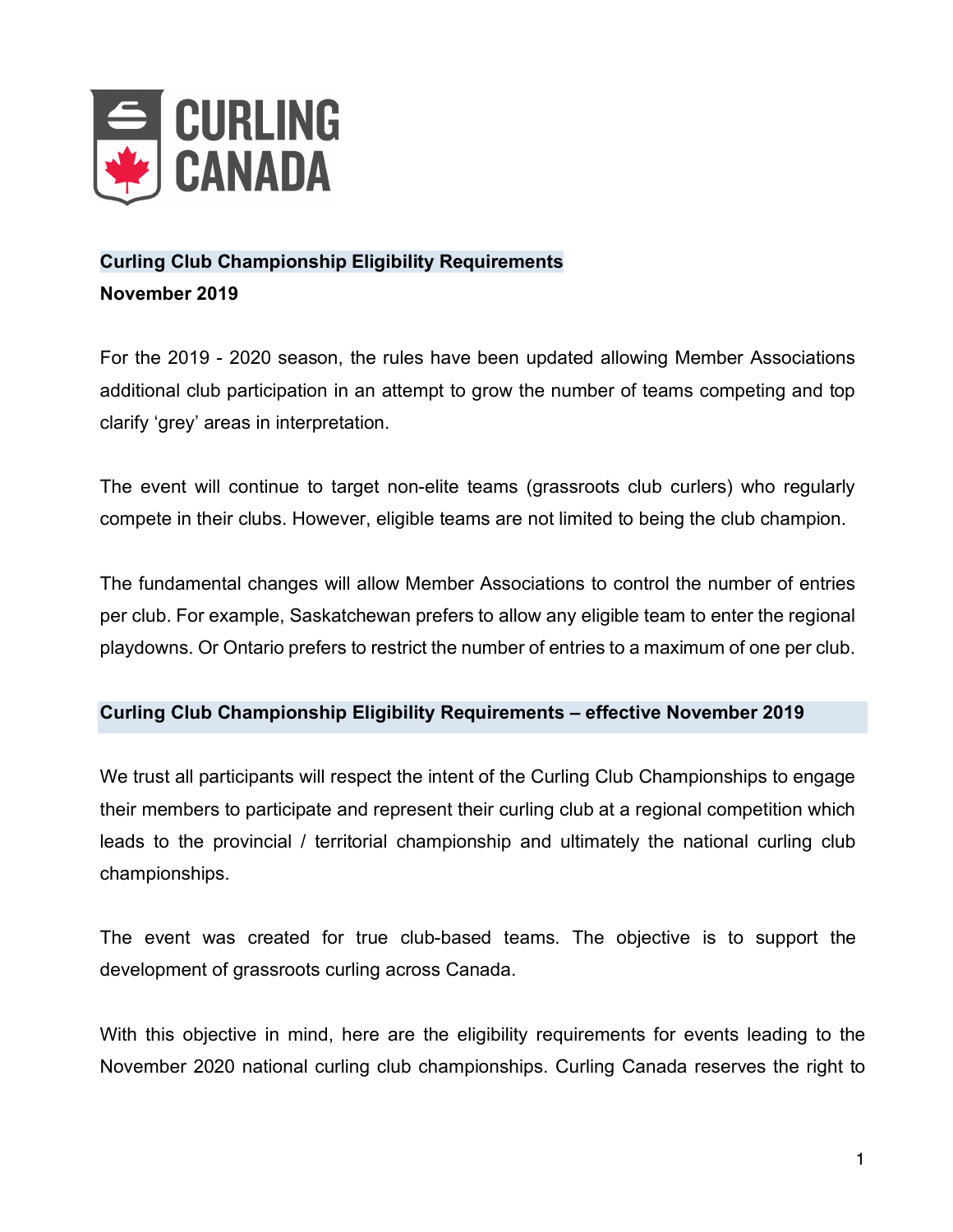

## **Curling Club Championship Eligibility Requirements**

**November 2019**

For the 2019 - 2020 season, the rules have been updated allowing Member Associations additional club participation in an attempt to grow the number of teams competing and top clarify 'grey' areas in interpretation.

The event will continue to target non-elite teams (grassroots club curlers) who regularly compete in their clubs. However, eligible teams are not limited to being the club champion.

The fundamental changes will allow Member Associations to control the number of entries per club. For example, Saskatchewan prefers to allow any eligible team to enter the regional playdowns. Or Ontario prefers to restrict the number of entries to a maximum of one per club.

## **Curling Club Championship Eligibility Requirements – effective November 2019**

We trust all participants will respect the intent of the Curling Club Championships to engage their members to participate and represent their curling club at a regional competition which leads to the provincial / territorial championship and ultimately the national curling club championships.

The event was created for true club-based teams. The objective is to support the development of grassroots curling across Canada.

With this objective in mind, here are the eligibility requirements for events leading to the November 2020 national curling club championships. Curling Canada reserves the right to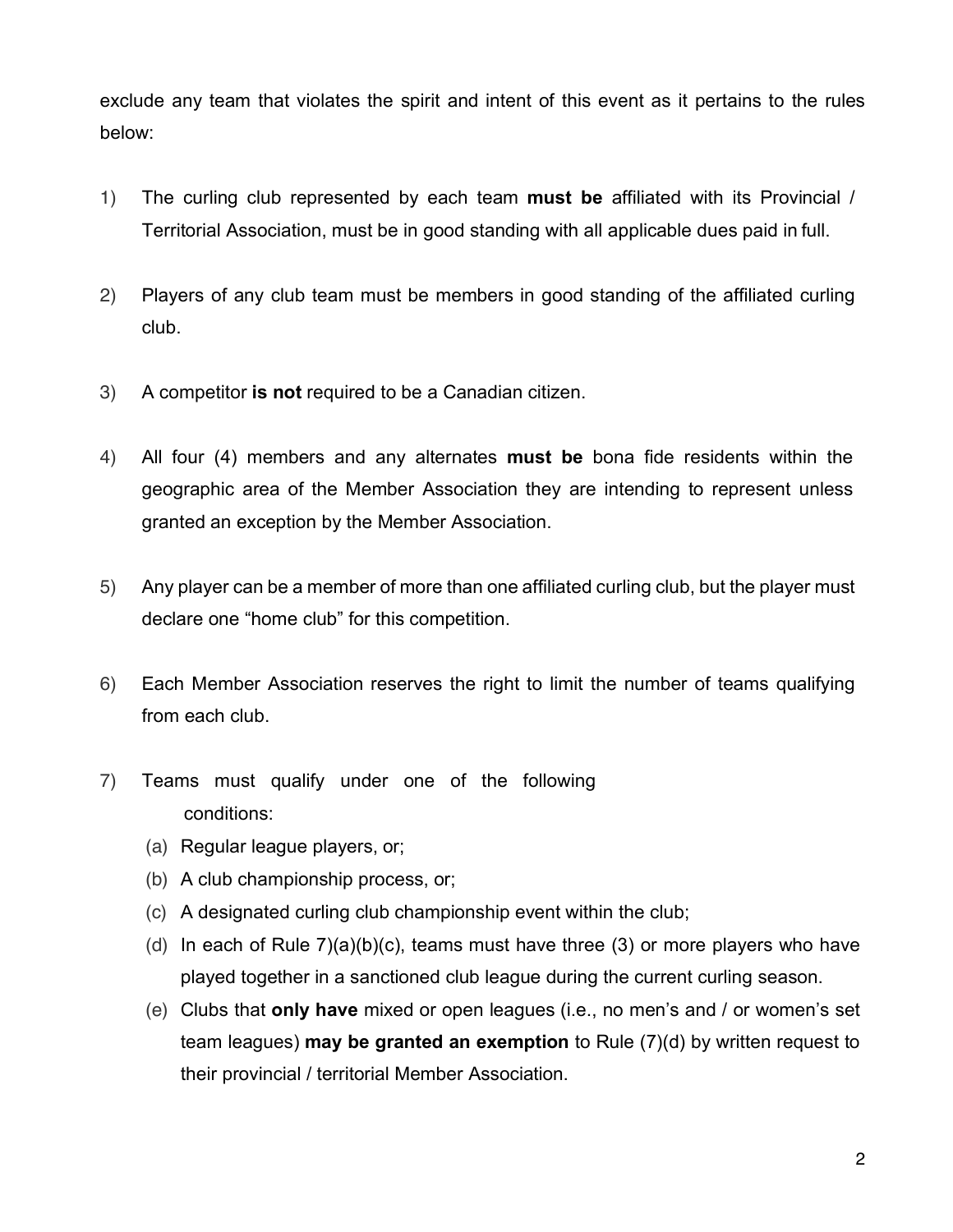exclude any team that violates the spirit and intent of this event as it pertains to the rules below:

- 1) The curling club represented by each team **must be** affiliated with its Provincial / Territorial Association, must be in good standing with all applicable dues paid in full.
- 2) Players of any club team must be members in good standing of the affiliated curling club.
- 3) A competitor **is not** required to be a Canadian citizen.
- 4) All four (4) members and any alternates **must be** bona fide residents within the geographic area of the Member Association they are intending to represent unless granted an exception by the Member Association.
- 5) Any player can be a member of more than one affiliated curling club, but the player must declare one "home club" for this competition.
- 6) Each Member Association reserves the right to limit the number of teams qualifying from each club.
- 7) Teams must qualify under one of the following conditions:
	- (a) Regular league players, or;
	- (b) A club championship process, or;
	- (c) A designated curling club championship event within the club;
	- (d) In each of Rule  $7)(a)(b)(c)$ , teams must have three (3) or more players who have played together in a sanctioned club league during the current curling season.
	- (e) Clubs that **only have** mixed or open leagues (i.e., no men's and / or women's set team leagues) **may be granted an exemption** to Rule (7)(d) by written request to their provincial / territorial Member Association.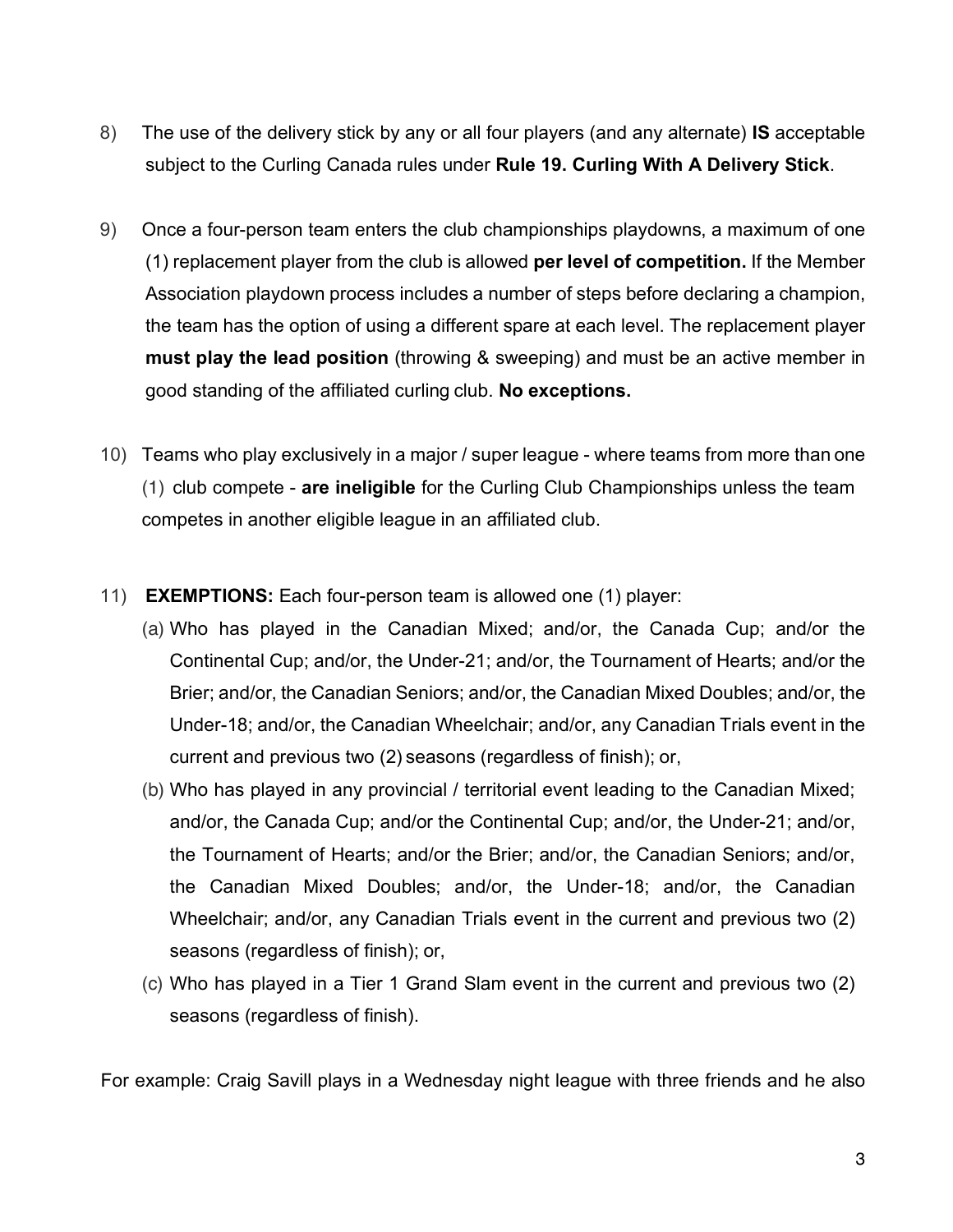- 8) The use of the delivery stick by any or all four players (and any alternate) **IS** acceptable subject to the Curling Canada rules under **Rule 19. Curling With A Delivery Stick**.
- 9) Once a four-person team enters the club championships playdowns, a maximum of one (1) replacement player from the club is allowed **per level of competition.** If the Member Association playdown process includes a number of steps before declaring a champion, the team has the option of using a different spare at each level. The replacement player **must play the lead position** (throwing & sweeping) and must be an active member in good standing of the affiliated curling club. **No exceptions.**
- 10) Teams who play exclusively in a major / super league where teams from more than one (1) club compete - **are ineligible** for the Curling Club Championships unless the team competes in another eligible league in an affiliated club.
- 11) **EXEMPTIONS:** Each four-person team is allowed one (1) player:
	- (a) Who has played in the Canadian Mixed; and/or, the Canada Cup; and/or the Continental Cup; and/or, the Under-21; and/or, the Tournament of Hearts; and/or the Brier; and/or, the Canadian Seniors; and/or, the Canadian Mixed Doubles; and/or, the Under-18; and/or, the Canadian Wheelchair; and/or, any Canadian Trials event in the current and previous two (2) seasons (regardless of finish); or,
	- (b) Who has played in any provincial / territorial event leading to the Canadian Mixed; and/or, the Canada Cup; and/or the Continental Cup; and/or, the Under-21; and/or, the Tournament of Hearts; and/or the Brier; and/or, the Canadian Seniors; and/or, the Canadian Mixed Doubles; and/or, the Under-18; and/or, the Canadian Wheelchair; and/or, any Canadian Trials event in the current and previous two (2) seasons (regardless of finish); or,
	- (c) Who has played in a Tier 1 Grand Slam event in the current and previous two (2) seasons (regardless of finish).

For example: Craig Savill plays in a Wednesday night league with three friends and he also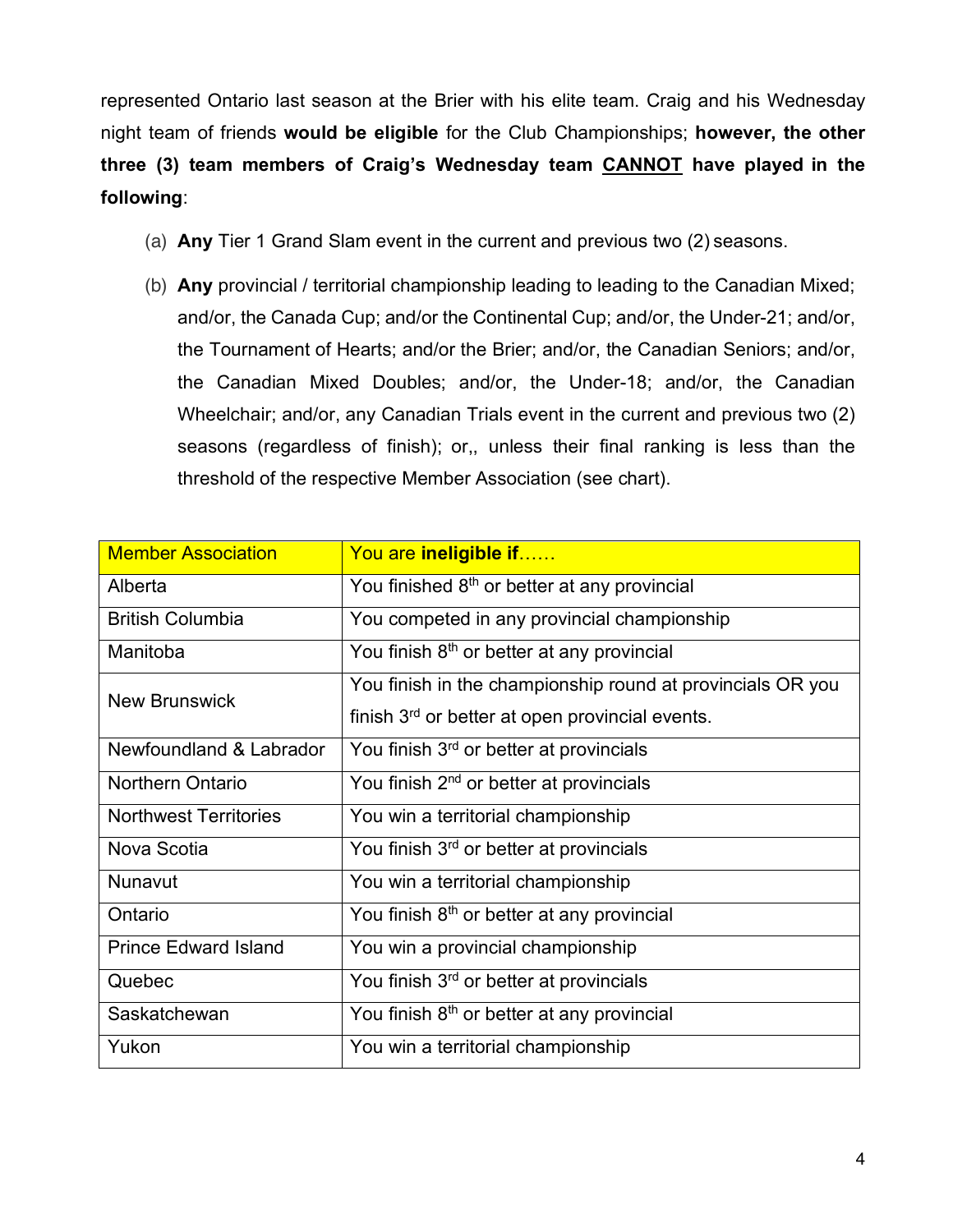represented Ontario last season at the Brier with his elite team. Craig and his Wednesday night team of friends **would be eligible** for the Club Championships; **however, the other three (3) team members of Craig's Wednesday team CANNOT have played in the following**:

- (a) **Any** Tier 1 Grand Slam event in the current and previous two (2) seasons.
- (b) **Any** provincial / territorial championship leading to leading to the Canadian Mixed; and/or, the Canada Cup; and/or the Continental Cup; and/or, the Under-21; and/or, the Tournament of Hearts; and/or the Brier; and/or, the Canadian Seniors; and/or, the Canadian Mixed Doubles; and/or, the Under-18; and/or, the Canadian Wheelchair; and/or, any Canadian Trials event in the current and previous two (2) seasons (regardless of finish); or,, unless their final ranking is less than the threshold of the respective Member Association (see chart).

| <b>Member Association</b>    | You are ineligible if                                       |
|------------------------------|-------------------------------------------------------------|
| Alberta                      | You finished 8 <sup>th</sup> or better at any provincial    |
| <b>British Columbia</b>      | You competed in any provincial championship                 |
| Manitoba                     | You finish 8 <sup>th</sup> or better at any provincial      |
| <b>New Brunswick</b>         | You finish in the championship round at provincials OR you  |
|                              | finish 3 <sup>rd</sup> or better at open provincial events. |
| Newfoundland & Labrador      | You finish 3rd or better at provincials                     |
| <b>Northern Ontario</b>      | You finish 2 <sup>nd</sup> or better at provincials         |
| <b>Northwest Territories</b> | You win a territorial championship                          |
| Nova Scotia                  | You finish 3 <sup>rd</sup> or better at provincials         |
| Nunavut                      | You win a territorial championship                          |
| Ontario                      | You finish 8 <sup>th</sup> or better at any provincial      |
| <b>Prince Edward Island</b>  | You win a provincial championship                           |
| Quebec                       | You finish 3 <sup>rd</sup> or better at provincials         |
| Saskatchewan                 | You finish 8 <sup>th</sup> or better at any provincial      |
| Yukon                        | You win a territorial championship                          |